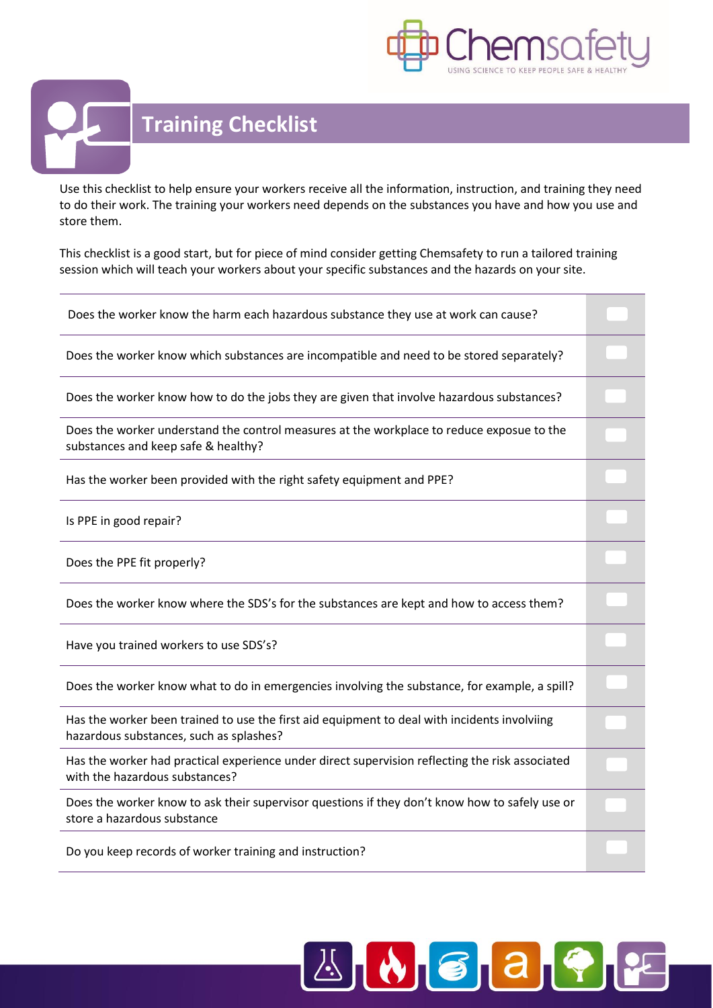



Use this checklist to help ensure your workers receive all the information, instruction, and training they need to do their work. The training your workers need depends on the substances you have and how you use and store them.

This checklist is a good start, but for piece of mind consider getting Chemsafety to run a tailored training session which will teach your workers about your specific substances and the hazards on your site.

| Does the worker know the harm each hazardous substance they use at work can cause?                                                      |  |
|-----------------------------------------------------------------------------------------------------------------------------------------|--|
| Does the worker know which substances are incompatible and need to be stored separately?                                                |  |
| Does the worker know how to do the jobs they are given that involve hazardous substances?                                               |  |
| Does the worker understand the control measures at the workplace to reduce exposue to the<br>substances and keep safe & healthy?        |  |
| Has the worker been provided with the right safety equipment and PPE?                                                                   |  |
| Is PPE in good repair?                                                                                                                  |  |
| Does the PPE fit properly?                                                                                                              |  |
| Does the worker know where the SDS's for the substances are kept and how to access them?                                                |  |
| Have you trained workers to use SDS's?                                                                                                  |  |
| Does the worker know what to do in emergencies involving the substance, for example, a spill?                                           |  |
| Has the worker been trained to use the first aid equipment to deal with incidents involviing<br>hazardous substances, such as splashes? |  |
| Has the worker had practical experience under direct supervision reflecting the risk associated<br>with the hazardous substances?       |  |
| Does the worker know to ask their supervisor questions if they don't know how to safely use or<br>store a hazardous substance           |  |
| Do you keep records of worker training and instruction?                                                                                 |  |